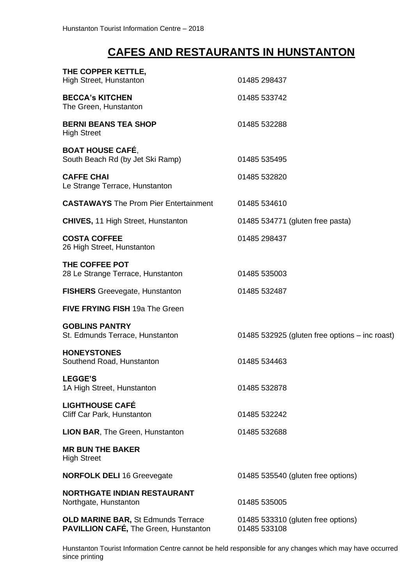## **CAFES AND RESTAURANTS IN HUNSTANTON**

| THE COPPER KETTLE,<br>High Street, Hunstanton                                             | 01485 298437                                       |
|-------------------------------------------------------------------------------------------|----------------------------------------------------|
| <b>BECCA's KITCHEN</b><br>The Green, Hunstanton                                           | 01485 533742                                       |
| <b>BERNI BEANS TEA SHOP</b><br><b>High Street</b>                                         | 01485 532288                                       |
| <b>BOAT HOUSE CAFÉ,</b><br>South Beach Rd (by Jet Ski Ramp)                               | 01485 535495                                       |
| <b>CAFFE CHAI</b><br>Le Strange Terrace, Hunstanton                                       | 01485 532820                                       |
| <b>CASTAWAYS</b> The Prom Pier Entertainment                                              | 01485 534610                                       |
| <b>CHIVES, 11 High Street, Hunstanton</b>                                                 | 01485 534771 (gluten free pasta)                   |
| <b>COSTA COFFEE</b><br>26 High Street, Hunstanton                                         | 01485 298437                                       |
| THE COFFEE POT<br>28 Le Strange Terrace, Hunstanton                                       | 01485 535003                                       |
| <b>FISHERS</b> Greevegate, Hunstanton                                                     | 01485 532487                                       |
| <b>FIVE FRYING FISH 19a The Green</b>                                                     |                                                    |
| <b>GOBLINS PANTRY</b><br>St. Edmunds Terrace, Hunstanton                                  | 01485 532925 (gluten free options – inc roast)     |
| <b>HONEYSTONES</b><br>Southend Road, Hunstanton                                           | 01485 534463                                       |
| <b>LEGGE'S</b><br>1A High Street, Hunstanton                                              | 01485 532878                                       |
| <b>LIGHTHOUSE CAFÉ</b><br>Cliff Car Park, Hunstanton                                      | 01485 532242                                       |
| <b>LION BAR, The Green, Hunstanton</b>                                                    | 01485 532688                                       |
| <b>MR BUN THE BAKER</b><br><b>High Street</b>                                             |                                                    |
| <b>NORFOLK DELI 16 Greevegate</b>                                                         | 01485 535540 (gluten free options)                 |
| <b>NORTHGATE INDIAN RESTAURANT</b><br>Northgate, Hunstanton                               | 01485 535005                                       |
| <b>OLD MARINE BAR, St Edmunds Terrace</b><br><b>PAVILLION CAFÉ, The Green, Hunstanton</b> | 01485 533310 (gluten free options)<br>01485 533108 |

Hunstanton Tourist Information Centre cannot be held responsible for any changes which may have occurred since printing